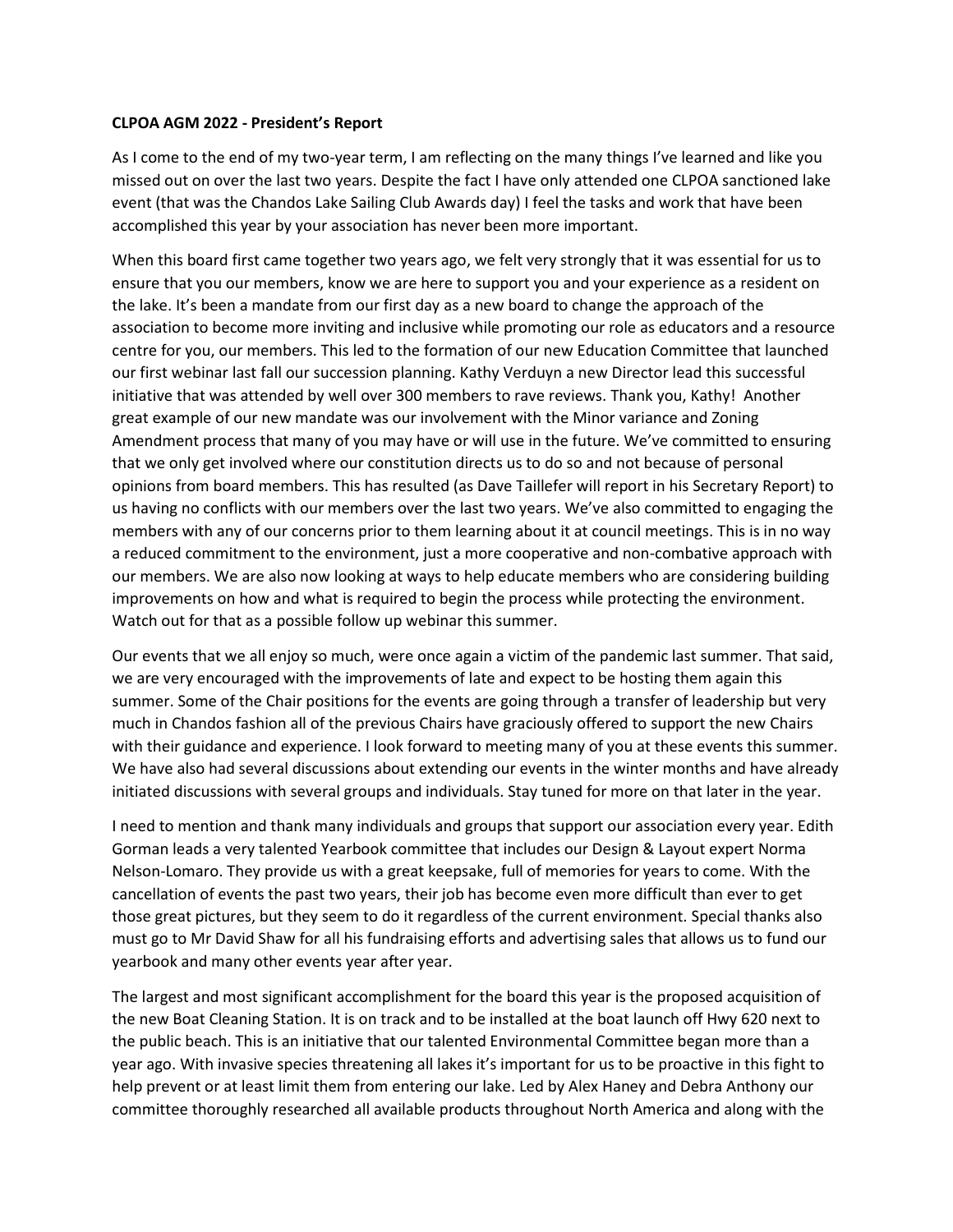## **CLPOA AGM 2022 - President's Report**

As I come to the end of my two-year term, I am reflecting on the many things I've learned and like you missed out on over the last two years. Despite the fact I have only attended one CLPOA sanctioned lake event (that was the Chandos Lake Sailing Club Awards day) I feel the tasks and work that have been accomplished this year by your association has never been more important.

When this board first came together two years ago, we felt very strongly that it was essential for us to ensure that you our members, know we are here to support you and your experience as a resident on the lake. It's been a mandate from our first day as a new board to change the approach of the association to become more inviting and inclusive while promoting our role as educators and a resource centre for you, our members. This led to the formation of our new Education Committee that launched our first webinar last fall our succession planning. Kathy Verduyn a new Director lead this successful initiative that was attended by well over 300 members to rave reviews. Thank you, Kathy! Another great example of our new mandate was our involvement with the Minor variance and Zoning Amendment process that many of you may have or will use in the future. We've committed to ensuring that we only get involved where our constitution directs us to do so and not because of personal opinions from board members. This has resulted (as Dave Taillefer will report in his Secretary Report) to us having no conflicts with our members over the last two years. We've also committed to engaging the members with any of our concerns prior to them learning about it at council meetings. This is in no way a reduced commitment to the environment, just a more cooperative and non-combative approach with our members. We are also now looking at ways to help educate members who are considering building improvements on how and what is required to begin the process while protecting the environment. Watch out for that as a possible follow up webinar this summer.

Our events that we all enjoy so much, were once again a victim of the pandemic last summer. That said, we are very encouraged with the improvements of late and expect to be hosting them again this summer. Some of the Chair positions for the events are going through a transfer of leadership but very much in Chandos fashion all of the previous Chairs have graciously offered to support the new Chairs with their guidance and experience. I look forward to meeting many of you at these events this summer. We have also had several discussions about extending our events in the winter months and have already initiated discussions with several groups and individuals. Stay tuned for more on that later in the year.

I need to mention and thank many individuals and groups that support our association every year. Edith Gorman leads a very talented Yearbook committee that includes our Design & Layout expert Norma Nelson-Lomaro. They provide us with a great keepsake, full of memories for years to come. With the cancellation of events the past two years, their job has become even more difficult than ever to get those great pictures, but they seem to do it regardless of the current environment. Special thanks also must go to Mr David Shaw for all his fundraising efforts and advertising sales that allows us to fund our yearbook and many other events year after year.

The largest and most significant accomplishment for the board this year is the proposed acquisition of the new Boat Cleaning Station. It is on track and to be installed at the boat launch off Hwy 620 next to the public beach. This is an initiative that our talented Environmental Committee began more than a year ago. With invasive species threatening all lakes it's important for us to be proactive in this fight to help prevent or at least limit them from entering our lake. Led by Alex Haney and Debra Anthony our committee thoroughly researched all available products throughout North America and along with the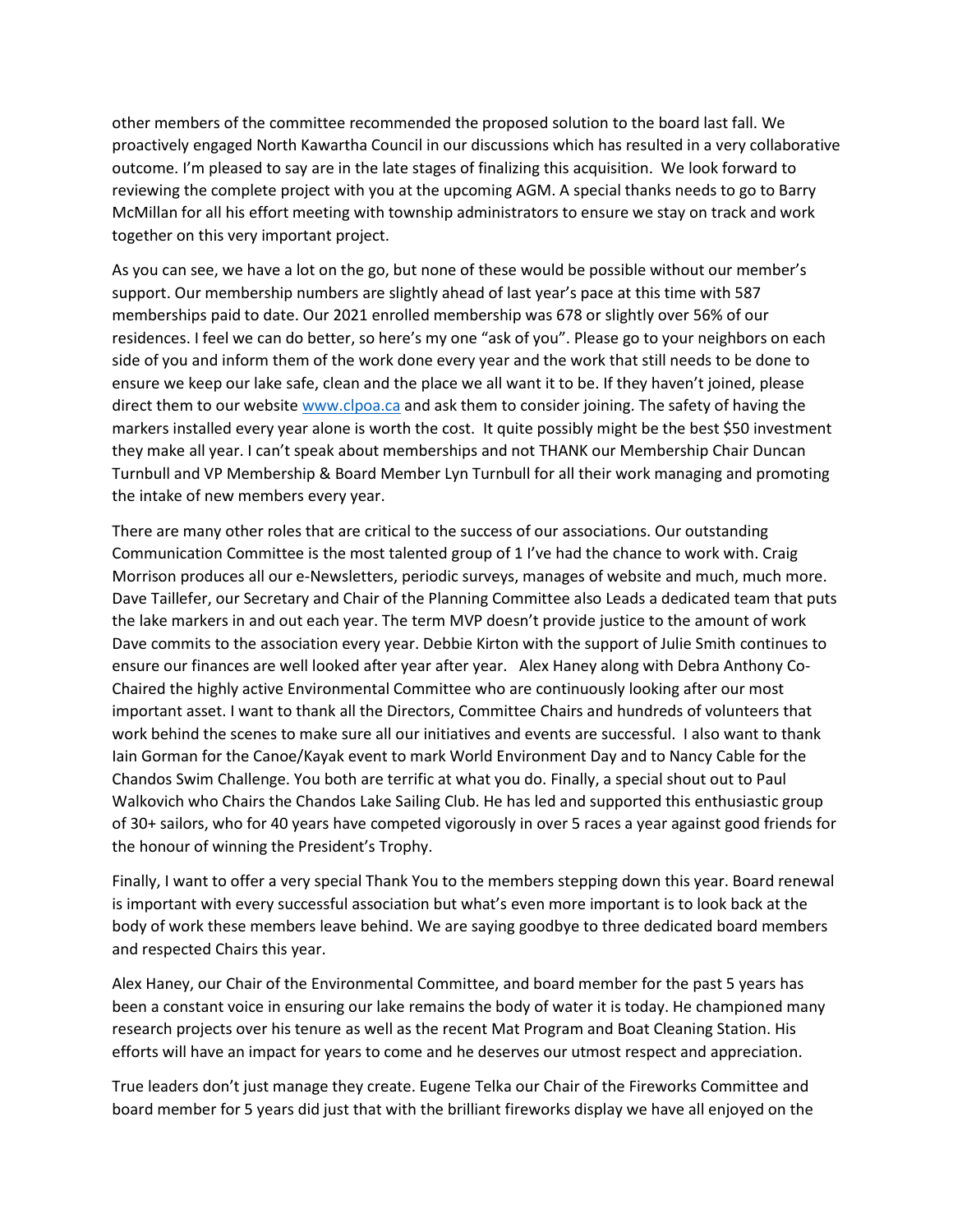other members of the committee recommended the proposed solution to the board last fall. We proactively engaged North Kawartha Council in our discussions which has resulted in a very collaborative outcome. I'm pleased to say are in the late stages of finalizing this acquisition. We look forward to reviewing the complete project with you at the upcoming AGM. A special thanks needs to go to Barry McMillan for all his effort meeting with township administrators to ensure we stay on track and work together on this very important project.

As you can see, we have a lot on the go, but none of these would be possible without our member's support. Our membership numbers are slightly ahead of last year's pace at this time with 587 memberships paid to date. Our 2021 enrolled membership was 678 or slightly over 56% of our residences. I feel we can do better, so here's my one "ask of you". Please go to your neighbors on each side of you and inform them of the work done every year and the work that still needs to be done to ensure we keep our lake safe, clean and the place we all want it to be. If they haven't joined, please direct them to our website [www.clpoa.ca](http://www.clpoa.ca/) and ask them to consider joining. The safety of having the markers installed every year alone is worth the cost. It quite possibly might be the best \$50 investment they make all year. I can't speak about memberships and not THANK our Membership Chair Duncan Turnbull and VP Membership & Board Member Lyn Turnbull for all their work managing and promoting the intake of new members every year.

There are many other roles that are critical to the success of our associations. Our outstanding Communication Committee is the most talented group of 1 I've had the chance to work with. Craig Morrison produces all our e-Newsletters, periodic surveys, manages of website and much, much more. Dave Taillefer, our Secretary and Chair of the Planning Committee also Leads a dedicated team that puts the lake markers in and out each year. The term MVP doesn't provide justice to the amount of work Dave commits to the association every year. Debbie Kirton with the support of Julie Smith continues to ensure our finances are well looked after year after year. Alex Haney along with Debra Anthony Co-Chaired the highly active Environmental Committee who are continuously looking after our most important asset. I want to thank all the Directors, Committee Chairs and hundreds of volunteers that work behind the scenes to make sure all our initiatives and events are successful. I also want to thank Iain Gorman for the Canoe/Kayak event to mark World Environment Day and to Nancy Cable for the Chandos Swim Challenge. You both are terrific at what you do. Finally, a special shout out to Paul Walkovich who Chairs the Chandos Lake Sailing Club. He has led and supported this enthusiastic group of 30+ sailors, who for 40 years have competed vigorously in over 5 races a year against good friends for the honour of winning the President's Trophy.

Finally, I want to offer a very special Thank You to the members stepping down this year. Board renewal is important with every successful association but what's even more important is to look back at the body of work these members leave behind. We are saying goodbye to three dedicated board members and respected Chairs this year.

Alex Haney, our Chair of the Environmental Committee, and board member for the past 5 years has been a constant voice in ensuring our lake remains the body of water it is today. He championed many research projects over his tenure as well as the recent Mat Program and Boat Cleaning Station. His efforts will have an impact for years to come and he deserves our utmost respect and appreciation.

True leaders don't just manage they create. Eugene Telka our Chair of the Fireworks Committee and board member for 5 years did just that with the brilliant fireworks display we have all enjoyed on the